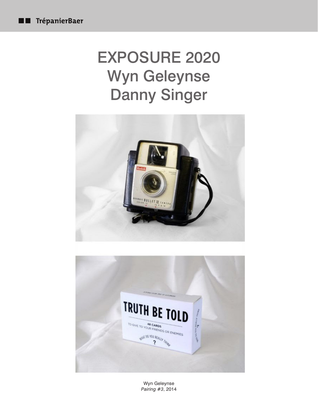## EXPOSURE 2020 Wyn Geleynse Danny Singer



Wyn Geleynse *Pairing #3*, 2014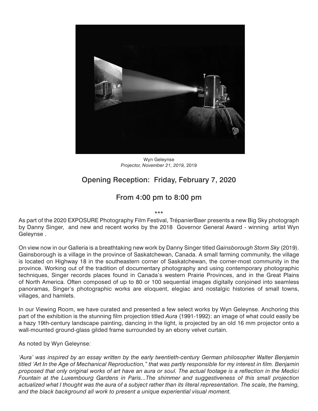

Wyn Geleynse *Projector, November 21, 2019,* 2019

## Opening Reception: Friday, February 7, 2020

## From 4:00 pm to 8:00 pm

\*\*\*

As part of the 2020 EXPOSURE Photography Film Festival, TrépanierBaer presents a new Big Sky photograph by Danny Singer, and new and recent works by the 2018 Governor General Award - winning artist Wyn Geleynse .

On view now in our Galleria is a breathtaking new work by Danny Singer titled *Gainsborough Storm Sky* (2019). Gainsborough is a village in the province of Saskatchewan, Canada. A small farming community, the village is located on Highway 18 in the southeastern corner of Saskatchewan, the corner-most community in the province. Working out of the tradition of documentary photography and using contemporary photographic techniques, Singer records places found in Canada's western Prairie Provinces, and in the Great Plains of North America. Often composed of up to 80 or 100 sequential images digitally conjoined into seamless panoramas, Singer's photographic works are eloquent, elegiac and nostalgic histories of small towns, villages, and hamlets.

In our Viewing Room, we have curated and presented a few select works by Wyn Geleynse. Anchoring this part of the exhibition is the stunning film projection titled *Aura* (1991-1992): an image of what could easily be a hazy 19th-century landscape painting, dancing in the light, is projected by an old 16 mm projector onto a wall-mounted ground-glass gilded frame surrounded by an ebony velvet curtain.

As noted by Wyn Geleynse:

*'Aura' was inspired by an essay written by the early twentieth-century German philosopher Walter Benjamin titled 'Art In the Age of Mechanical Reproduction," that was partly responsible for my interest in film. Benjamin proposed that only original works of art have an aura or soul. The actual footage is a reflection in the Medici Fountain at the Luxembourg Gardens in Paris...The shimmer and suggestiveness of this small projection*  actualized what I thought was the aura of a subject rather than its literal representation. The scale, the framing, *and the black background all work to present a unique experiential visual moment.*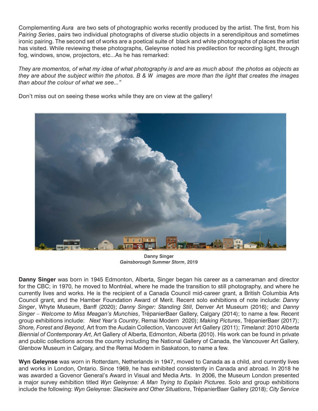Complementing *Aura* are two sets of photographic works recently produced by the artist. The first, from his *Pairing Series*, pairs two individual photographs of diverse studio objects in a serendipitous and sometimes ironic pairing. The second set of works are a poetical suite of black and white photographs of places the artist has visited. While reviewing these photographs, Geleynse noted his predilection for recording light, through fog, windows, snow, projectors, etc...As he has remarked:

*They are momentos, of what my idea of what photography is and are as much about the photos as objects as they are about the subject within the photos. B & W images are more than the light that creates the images than about the colour of what we see..."* 

Don't miss out on seeing these works while they are on view at the gallery!



Danny Singer *Gainsborough Summer Storm*, 2019

**Danny Singer** was born in 1945 Edmonton, Alberta, Singer began his career as a cameraman and director for the CBC; in 1970, he moved to Montréal, where he made the transition to still photography, and where he currently lives and works. He is the recipient of a Canada Council mid-career grant, a British Columbia Arts Council grant, and the Hamber Foundation Award of Merit. Recent solo exhibitions of note include: *Danny Singer*, Whyte Museum, Banff (2020); *Danny Singer: Standing Still*, Denver Art Museum (2016); and *Danny Singer – Welcome to Miss Meagan's Munchies*, TrépanierBaer Gallery, Calgary (2014); to name a few. Recent group exhibitions include: *Next Year's Country*, Remai Modern 2020); *Making Pictures*, TrépanierBaer (2017); *Shore, Forest and Beyond*, Art from the Audain Collection, Vancouver Art Gallery (2011); *Timeland*: 2010 *Alberta Biennial of Contemporary Art*, Art Gallery of Alberta, Edmonton, Alberta (2010). His work can be found in private and public collections across the country including the National Gallery of Canada, the Vancouver Art Gallery, Glenbow Museum in Calgary, and the Remai Modern in Saskatoon, to name a few.

**Wyn Geleynse** was worn in Rotterdam, Netherlands in 1947, moved to Canada as a child, and currently lives and works in London, Ontario. Since 1969, he has exhibited consistently in Canada and abroad. In 2018 he was awarded a Govenor General's Award in Visual and Media Arts. In 2006, the Museum London presented a major survey exhibition titled *Wyn Geleynse: A Man Trying to Explain Pictures*. Solo and group exhibitions include the following: *Wyn Geleynse: Slackwire and Other Situations*, TrépanierBaer Gallery (2018); *City Service*